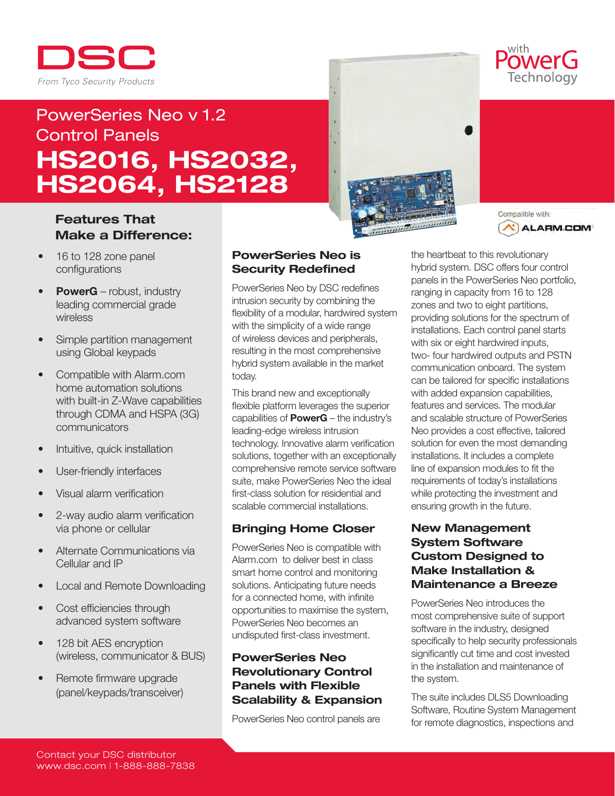

# PowerSeries Neo v 1.2 Control Panels HS2016, HS2032, HS2064, HS2128

# Features That Make a Difference:

- 16 to 128 zone panel configurations
- **PowerG** robust, industry leading commercial grade wireless
- Simple partition management using Global keypads
- Compatible with Alarm.com home automation solutions with built-in Z-Wave capabilities through CDMA and HSPA (3G) communicators
- Intuitive, quick installation
- User-friendly interfaces
- Visual alarm verification
- 2-way audio alarm verification via phone or cellular
- Alternate Communications via Cellular and IP
- **Local and Remote Downloading**
- Cost efficiencies through advanced system software
- 128 bit AES encryption (wireless, communicator & BUS)
- Remote firmware upgrade (panel/keypads/transceiver)

## PowerSeries Neo is Security Redefined

PowerSeries Neo by DSC redefines intrusion security by combining the flexibility of a modular, hardwired system with the simplicity of a wide range of wireless devices and peripherals, resulting in the most comprehensive hybrid system available in the market today.

This brand new and exceptionally flexible platform leverages the superior capabilities of PowerG – the industry's leading-edge wireless intrusion technology. Innovative alarm verification solutions, together with an exceptionally comprehensive remote service software suite, make PowerSeries Neo the ideal first-class solution for residential and scalable commercial installations.

## Bringing Home Closer

PowerSeries Neo is compatible with Alarm.com to deliver best in class smart home control and monitoring solutions. Anticipating future needs for a connected home, with infinite opportunities to maximise the system, PowerSeries Neo becomes an undisputed first-class investment.

## PowerSeries Neo Revolutionary Control Panels with Flexible Scalability & Expansion

PowerSeries Neo control panels are





OWAY Technology

the heartbeat to this revolutionary hybrid system. DSC offers four control panels in the PowerSeries Neo portfolio, ranging in capacity from 16 to 128 zones and two to eight partitions, providing solutions for the spectrum of installations. Each control panel starts with six or eight hardwired inputs, two- four hardwired outputs and PSTN communication onboard. The system can be tailored for specific installations with added expansion capabilities, features and services. The modular and scalable structure of PowerSeries Neo provides a cost effective, tailored solution for even the most demanding installations. It includes a complete line of expansion modules to fit the requirements of today's installations while protecting the investment and ensuring growth in the future.

## New Management System Software Custom Designed to Make Installation & Maintenance a Breeze

PowerSeries Neo introduces the most comprehensive suite of support software in the industry, designed specifically to help security professionals significantly cut time and cost invested in the installation and maintenance of the system.

The suite includes DLS5 Downloading Software, Routine System Management for remote diagnostics, inspections and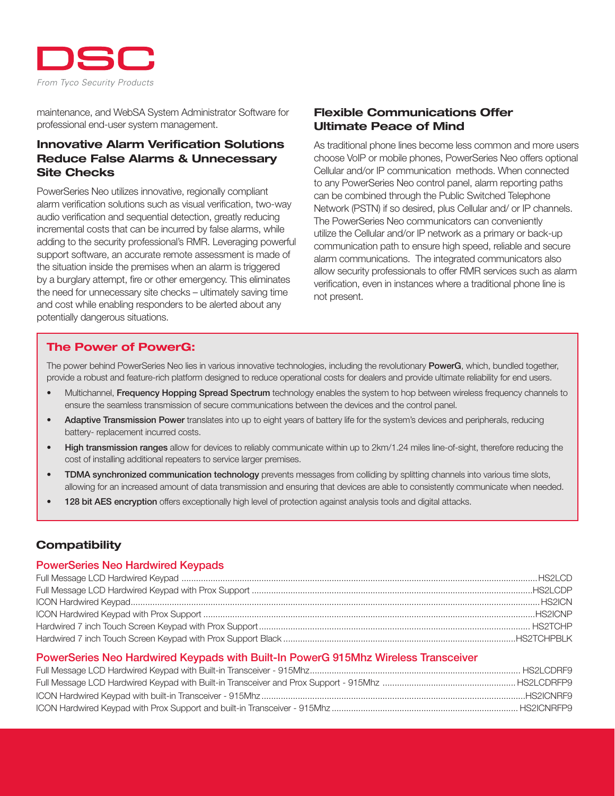

maintenance, and WebSA System Administrator Software for professional end-user system management.

## Innovative Alarm Verification Solutions Reduce False Alarms & Unnecessary Site Checks

PowerSeries Neo utilizes innovative, regionally compliant alarm verification solutions such as visual verification, two-way audio verification and sequential detection, greatly reducing incremental costs that can be incurred by false alarms, while adding to the security professional's RMR. Leveraging powerful support software, an accurate remote assessment is made of the situation inside the premises when an alarm is triggered by a burglary attempt, fire or other emergency. This eliminates the need for unnecessary site checks – ultimately saving time and cost while enabling responders to be alerted about any potentially dangerous situations.

## Flexible Communications Offer Ultimate Peace of Mind

As traditional phone lines become less common and more users choose VoIP or mobile phones, PowerSeries Neo offers optional Cellular and/or IP communication methods. When connected to any PowerSeries Neo control panel, alarm reporting paths can be combined through the Public Switched Telephone Network (PSTN) if so desired, plus Cellular and/ or IP channels. The PowerSeries Neo communicators can conveniently utilize the Cellular and/or IP network as a primary or back-up communication path to ensure high speed, reliable and secure alarm communications. The integrated communicators also allow security professionals to offer RMR services such as alarm verification, even in instances where a traditional phone line is not present.

## The Power of PowerG:

The power behind PowerSeries Neo lies in various innovative technologies, including the revolutionary PowerG, which, bundled together, provide a robust and feature-rich platform designed to reduce operational costs for dealers and provide ultimate reliability for end users.

- Multichannel, Frequency Hopping Spread Spectrum technology enables the system to hop between wireless frequency channels to ensure the seamless transmission of secure communications between the devices and the control panel.
- Adaptive Transmission Power translates into up to eight years of battery life for the system's devices and peripherals, reducing battery- replacement incurred costs.
- High transmission ranges allow for devices to reliably communicate within up to 2km/1.24 miles line-of-sight, therefore reducing the cost of installing additional repeaters to service larger premises.
- TDMA synchronized communication technology prevents messages from colliding by splitting channels into various time slots, allowing for an increased amount of data transmission and ensuring that devices are able to consistently communicate when needed.
- 128 bit AES encryption offers exceptionally high level of protection against analysis tools and digital attacks.

# **Compatibility**

#### PowerSeries Neo Hardwired Keypads

#### PowerSeries Neo Hardwired Keypads with Built-In PowerG 915Mhz Wireless Transceiver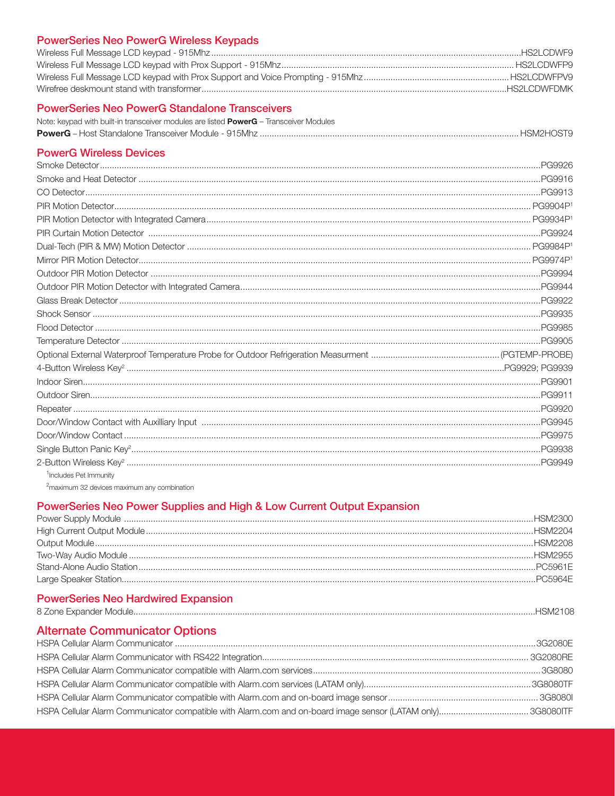## **PowerSeries Neo PowerG Wireless Keypads**

| HS2I CDWEDMK |
|--------------|

## **PowerSeries Neo PowerG Standalone Transceivers**

| Note: keypad with built-in transceiver modules are listed <b>PowerG</b> – Transceiver Modules |  |
|-----------------------------------------------------------------------------------------------|--|
|                                                                                               |  |

## **PowerG Wireless Devices**

| <sup>1</sup> Includes Pet Immunity |  |
|------------------------------------|--|
|                                    |  |

<sup>2</sup>maximum 32 devices maximum any combination

## PowerSeries Neo Power Supplies and High & Low Current Output Expansion

# **PowerSeries Neo Hardwired Expansion**

| 8 Zone Expander Module | $\cdots$ |
|------------------------|----------|
|                        |          |

# **Alternate Communicator Options**